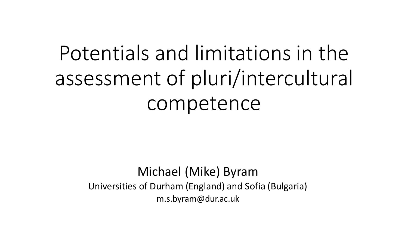# Potentials and limitations in the assessment of pluri/intercultural competence

#### Michael (Mike) Byram Universities of Durham (England) and Sofia (Bulgaria) m.s.byram@dur.ac.uk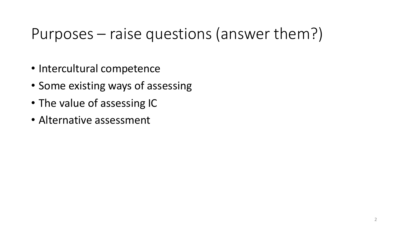#### Purposes – raise questions (answer them?)

- Intercultural competence
- Some existing ways of assessing
- The value of assessing IC
- Alternative assessment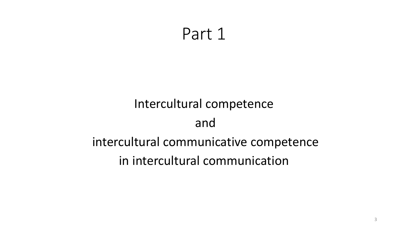#### Part 1

#### Intercultural competence and intercultural communicative competence in intercultural communication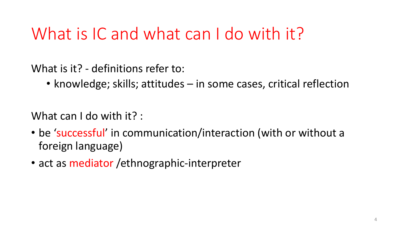### What is IC and what can I do with it?

What is it? - definitions refer to:

• knowledge; skills; attitudes – in some cases, critical reflection

What can I do with it? :

- be 'successful' in communication/interaction (with or without a foreign language)
- act as mediator / ethnographic-interpreter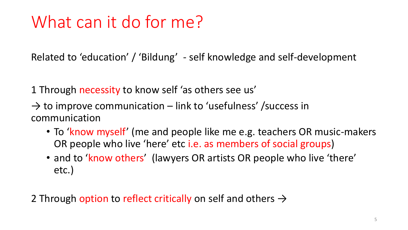## What can it do for me?

Related to 'education' / 'Bildung' - self knowledge and self-development

1 Through necessity to know self 'as others see us'

- $\rightarrow$  to improve communication link to 'usefulness' /success in communication
	- To 'know myself' (me and people like me e.g. teachers OR music-makers OR people who live 'here' etc i.e. as members of social groups)
	- and to 'know others' (lawyers OR artists OR people who live 'there' etc.)

2 Through option to reflect critically on self and others  $\rightarrow$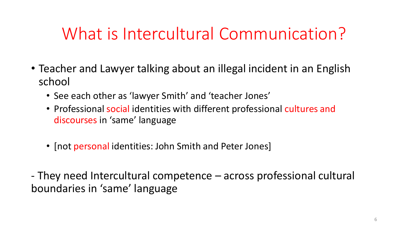### What is Intercultural Communication?

- Teacher and Lawyer talking about an illegal incident in an English school
	- See each other as 'lawyer Smith' and 'teacher Jones'
	- Professional social identities with different professional cultures and discourses in 'same' language
	- [not personal identities: John Smith and Peter Jones]

- They need Intercultural competence – across professional cultural boundaries in 'same' language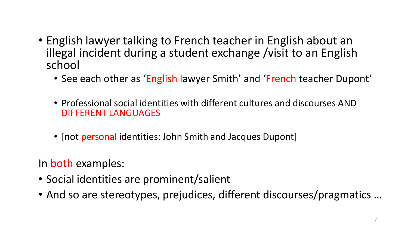- English lawyer talking to French teacher in English about an illegal incident during a student exchange /visit to an English school
	- See each other as 'English lawyer Smith' and 'French teacher Dupont'
	- Professional social identities with different cultures and discourses AND DIFFERENT LANGUAGES
	- [not personal identities: John Smith and Jacques Dupont]

In both examples:

- Social identities are prominent/salient
- And so are stereotypes, prejudices, different discourses/pragmatics …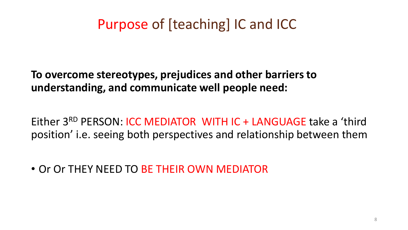#### Purpose of [teaching] IC and ICC

**To overcome stereotypes, prejudices and other barriers to understanding, and communicate well people need:**

Either 3RD PERSON: ICC MEDIATOR WITH IC + LANGUAGE take a 'third position' i.e. seeing both perspectives and relationship between them

• Or Or THEY NEED TO BE THEIR OWN MEDIATOR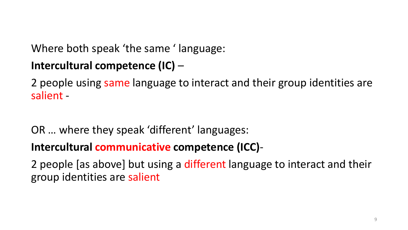Where both speak 'the same ' language:

#### **Intercultural competence (IC)** –

2 people using same language to interact and their group identities are salient -

OR … where they speak 'different' languages:

**Intercultural communicative competence (ICC)**-

2 people [as above] but using a different language to interact and their group identities are salient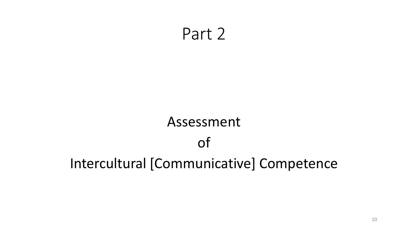#### Part 2

### Assessment of Intercultural [Communicative] Competence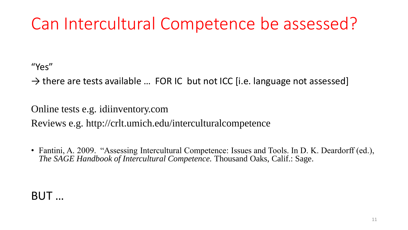### Can Intercultural Competence be assessed?

"Yes"

 $\rightarrow$  there are tests available ... FOR IC but not ICC [i.e. language not assessed]

Online tests e.g. idiinventory.com Reviews e.g. http://crlt.umich.edu/interculturalcompetence

• Fantini, A. 2009. "Assessing Intercultural Competence: Issues and Tools. In D. K. Deardorff (ed.), *The SAGE Handbook of Intercultural Competence.* Thousand Oaks, Calif.: Sage.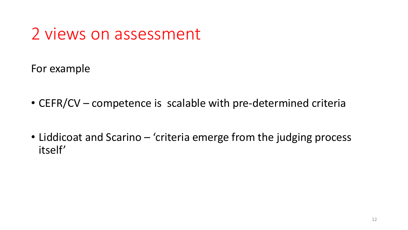## 2 views on assessment

For example

- CEFR/CV competence is scalable with pre-determined criteria
- Liddicoat and Scarino 'criteria emerge from the judging process itself'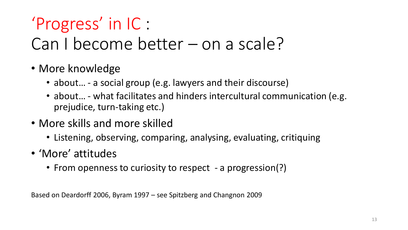## 'Progress' in IC :

### Can I become better – on a scale?

- More knowledge
	- about… a social group (e.g. lawyers and their discourse)
	- about... what facilitates and hinders intercultural communication (e.g. prejudice, turn-taking etc.)
- More skills and more skilled
	- Listening, observing, comparing, analysing, evaluating, critiquing
- 'More' attitudes
	- From openness to curiosity to respect a progression(?)

Based on Deardorff 2006, Byram 1997 – see Spitzberg and Changnon 2009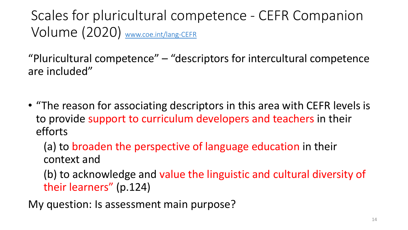Scales for pluricultural competence - CEFR Companion Volume (2020) [www.coe.int/lang-CEFR](http://www.coe.int/lang-CEFR)

"Pluricultural competence" – "descriptors for intercultural competence are included"

• "The reason for associating descriptors in this area with CEFR levels is to provide support to curriculum developers and teachers in their efforts

(a) to broaden the perspective of language education in their context and

(b) to acknowledge and value the linguistic and cultural diversity of their learners" (p.124)

My question: Is assessment main purpose?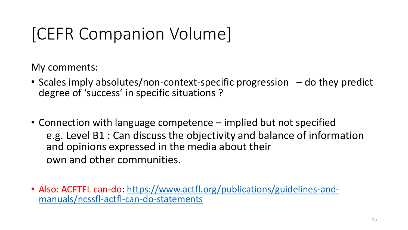## [CEFR Companion Volume]

My comments:

- Scales imply absolutes/non-context-specific progression do they predict degree of 'success' in specific situations ?
- Connection with language competence implied but not specified e.g. Level B1 : Can discuss the objectivity and balance of information and opinions expressed in the media about their own and other communities.
- [Also: ACFTFL can-do: https://www.actfl.org/publications/guidelines-and](https://www.actfl.org/publications/guidelines-and-manuals/ncssfl-actfl-can-do-statements)manuals/ncssfl-actfl-can-do-statements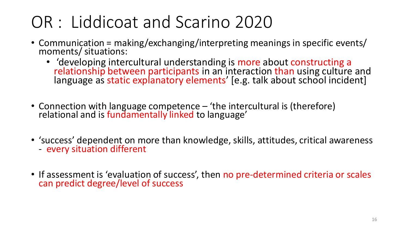## OR : Liddicoat and Scarino 2020

- Communication = making/exchanging/interpreting meanings in specific events/ moments/ situations:
	- 'developing intercultural understanding is more about constructing a relationship between participants in an interaction than using culture and language as static explanatory elements' [e.g. talk about school incident]
- Connection with language competence 'the intercultural is (therefore) relational and is fundamentally linked to language'
- 'success' dependent on more than knowledge, skills, attitudes, critical awareness - every situation different
- If assessment is 'evaluation of success', then no pre-determined criteria or scales can predict degree/level of success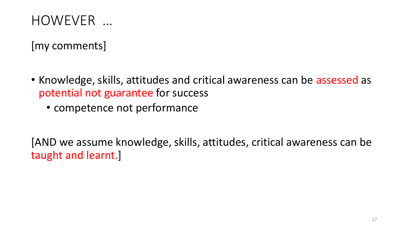#### HOWEVER …

[my comments]

- Knowledge, skills, attitudes and critical awareness can be assessed as potential not guarantee for success
	- competence not performance

[AND we assume knowledge, skills, attitudes, critical awareness can be taught and learnt.]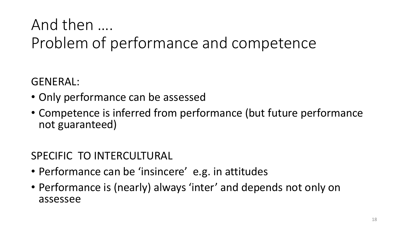#### And then …. Problem of performance and competence

GENERAL:

- Only performance can be assessed
- Competence is inferred from performance (but future performance not guaranteed)

#### SPECIFIC TO INTERCULTURAL

- Performance can be 'insincere' e.g. in attitudes
- Performance is (nearly) always 'inter' and depends not only on assessee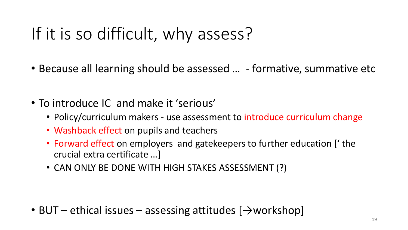## If it is so difficult, why assess?

- Because all learning should be assessed ... formative, summative etc
- To introduce IC and make it 'serious'
	- Policy/curriculum makers use assessment to introduce curriculum change
	- Washback effect on pupils and teachers
	- Forward effect on employers and gatekeepers to further education [' the crucial extra certificate …]
	- CAN ONLY BE DONE WITH HIGH STAKES ASSESSMENT (?)

• BUT – ethical issues – assessing attitudes  $[\rightarrow$  workshop]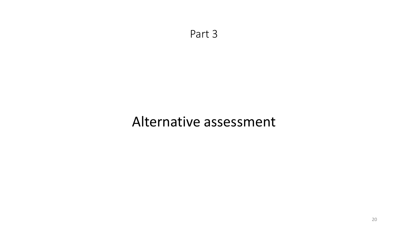Part 3

#### Alternative assessment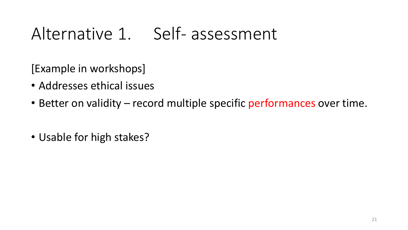### Alternative 1. Self- assessment

[Example in workshops]

- Addresses ethical issues
- Better on validity record multiple specific performances over time.
- Usable for high stakes?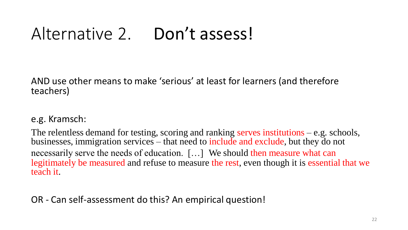### Alternative 2. Don't assess!

AND use other means to make 'serious' at least for learners (and therefore teachers)

#### e.g. Kramsch:

The relentless demand for testing, scoring and ranking serves institutions – e.g. schools, businesses, immigration services – that need to include and exclude, but they do not necessarily serve the needs of education. […] We should then measure what can legitimately be measured and refuse to measure the rest, even though it is essential that we teach it.

OR - Can self-assessment do this? An empirical question!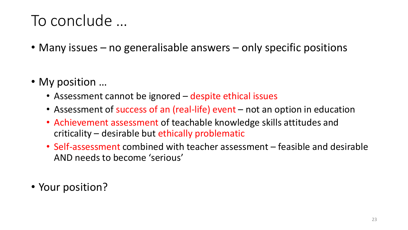#### To conclude …

- Many issues no generalisable answers only specific positions
- My position ...
	- Assessment cannot be ignored despite ethical issues
	- Assessment of success of an (real-life) event not an option in education
	- Achievement assessment of teachable knowledge skills attitudes and criticality – desirable but ethically problematic
	- Self-assessment combined with teacher assessment feasible and desirable AND needs to become 'serious'
- Your position?